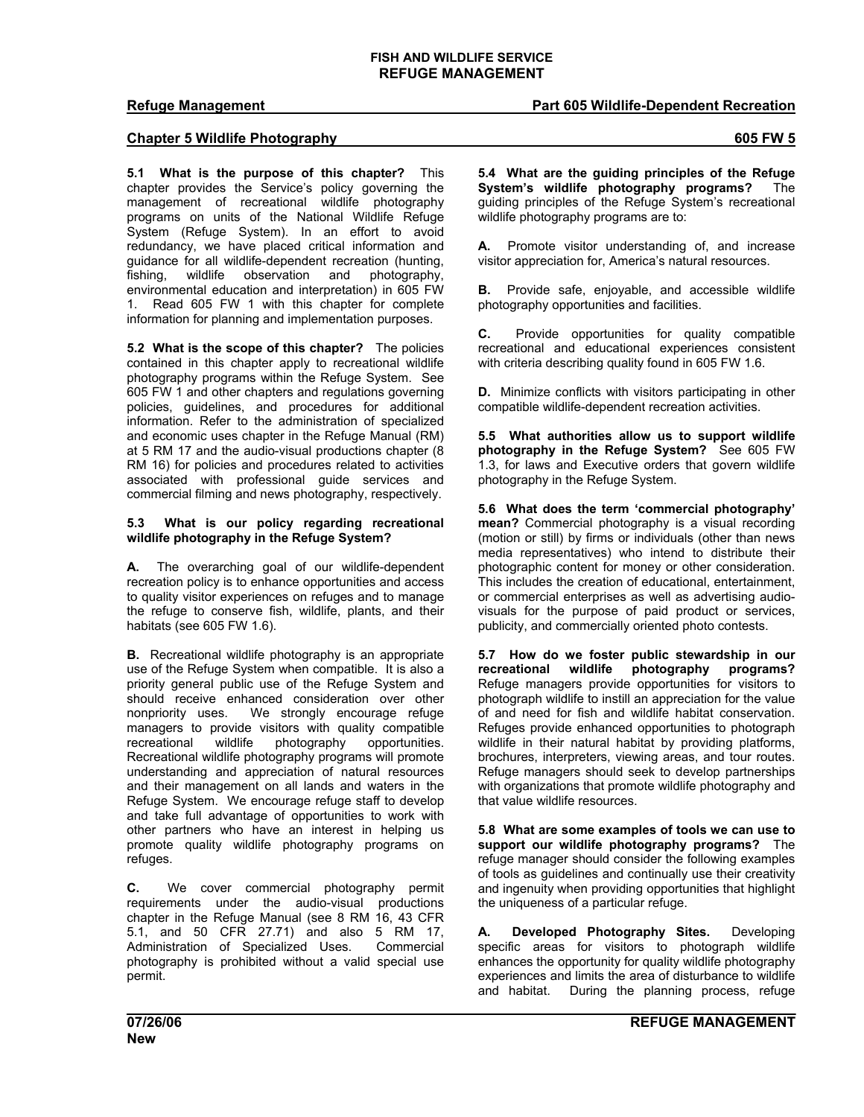# **Refuge Management Part 605 Wildlife-Dependent Recreation**

## **Chapter 5 Wildlife Photography 605 FW 5**

**5.1 What is the purpose of this chapter?** This chapter provides the Service's policy governing the management of recreational wildlife photography programs on units of the National Wildlife Refuge System (Refuge System). In an effort to avoid redundancy, we have placed critical information and guidance for all wildlife-dependent recreation (hunting, fishing, wildlife observation and photography, environmental education and interpretation) in 605 FW 1. Read 605 FW 1 with this chapter for complete information for planning and implementation purposes.

**5.2 What is the scope of this chapter?** The policies contained in this chapter apply to recreational wildlife photography programs within the Refuge System. See 605 FW 1 and other chapters and regulations governing policies, guidelines, and procedures for additional information. Refer to the administration of specialized and economic uses chapter in the Refuge Manual (RM) at 5 RM 17 and the audio-visual productions chapter (8 RM 16) for policies and procedures related to activities associated with professional guide services and commercial filming and news photography, respectively.

### **5.3 What is our policy regarding recreational wildlife photography in the Refuge System?**

**A.** The overarching goal of our wildlife-dependent recreation policy is to enhance opportunities and access to quality visitor experiences on refuges and to manage the refuge to conserve fish, wildlife, plants, and their habitats (see 605 FW 1.6).

**B.** Recreational wildlife photography is an appropriate use of the Refuge System when compatible. It is also a priority general public use of the Refuge System and should receive enhanced consideration over other nonpriority uses. We strongly encourage refuge managers to provide visitors with quality compatible recreational wildlife photography opportunities. Recreational wildlife photography programs will promote understanding and appreciation of natural resources and their management on all lands and waters in the Refuge System. We encourage refuge staff to develop and take full advantage of opportunities to work with other partners who have an interest in helping us promote quality wildlife photography programs on refuges.

**C.** We cover commercial photography permit requirements under the audio-visual productions chapter in the Refuge Manual (see 8 RM 16, 43 CFR 5.1, and 50 CFR 27.71) and also 5 RM 17, Administration of Specialized Uses. Commercial photography is prohibited without a valid special use permit.

**5.4 What are the guiding principles of the Refuge System's wildlife photography programs?** The guiding principles of the Refuge System's recreational

**A.** Promote visitor understanding of, and increase visitor appreciation for, America's natural resources.

wildlife photography programs are to:

**B.** Provide safe, enjoyable, and accessible wildlife photography opportunities and facilities.

**C.** Provide opportunities for quality compatible recreational and educational experiences consistent with criteria describing quality found in 605 FW 1.6.

**D.** Minimize conflicts with visitors participating in other compatible wildlife-dependent recreation activities.

**5.5 What authorities allow us to support wildlife photography in the Refuge System?** See 605 FW 1.3, for laws and Executive orders that govern wildlife photography in the Refuge System.

**5.6 What does the term 'commercial photography' mean?** Commercial photography is a visual recording (motion or still) by firms or individuals (other than news media representatives) who intend to distribute their photographic content for money or other consideration. This includes the creation of educational, entertainment, or commercial enterprises as well as advertising audiovisuals for the purpose of paid product or services, publicity, and commercially oriented photo contests.

**5.7 How do we foster public stewardship in our recreational wildlife photography programs?** Refuge managers provide opportunities for visitors to photograph wildlife to instill an appreciation for the value of and need for fish and wildlife habitat conservation. Refuges provide enhanced opportunities to photograph wildlife in their natural habitat by providing platforms, brochures, interpreters, viewing areas, and tour routes. Refuge managers should seek to develop partnerships with organizations that promote wildlife photography and that value wildlife resources.

**5.8 What are some examples of tools we can use to support our wildlife photography programs?** The refuge manager should consider the following examples of tools as guidelines and continually use their creativity and ingenuity when providing opportunities that highlight the uniqueness of a particular refuge.

**A. Developed Photography Sites.** Developing specific areas for visitors to photograph wildlife enhances the opportunity for quality wildlife photography experiences and limits the area of disturbance to wildlife and habitat. During the planning process, refuge